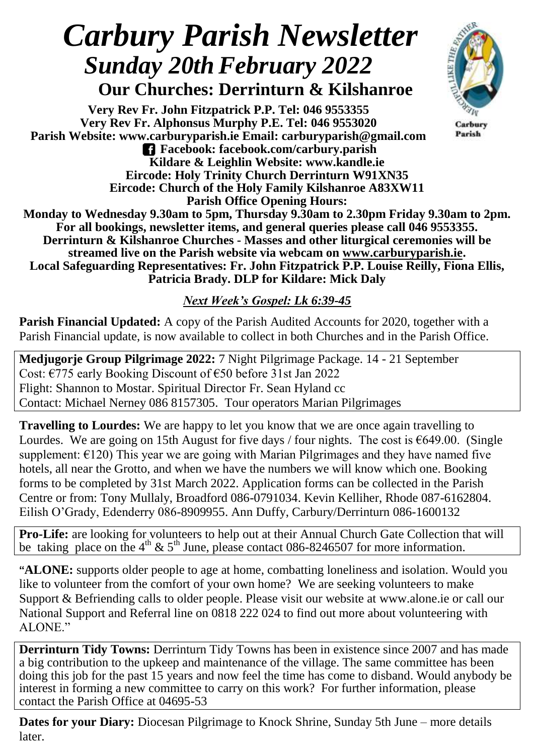## *Carbury Parish Newsletter Sunday 20thFebruary 2022*

 **Our Churches: Derrinturn & Kilshanroe**

**Very Rev Fr. John Fitzpatrick P.P. Tel: 046 9553355 Very Rev Fr. Alphonsus Murphy P.E. Tel: 046 9553020 Parish Website: www.carburyparish.ie Email: carburyparish@gmail.com Facebook: facebook.com/carbury.parish Kildare & Leighlin Website: www.kandle.ie Eircode: Holy Trinity Church Derrinturn W91XN35 Eircode: Church of the Holy Family Kilshanroe A83XW11 Parish Office Opening Hours:**



Carbury Parish

**Monday to Wednesday 9.30am to 5pm, Thursday 9.30am to 2.30pm Friday 9.30am to 2pm. For all bookings, newsletter items, and general queries please call 046 9553355. Derrinturn & Kilshanroe Churches - Masses and other liturgical ceremonies will be streamed live on the Parish website via webcam on [www.carburyparish.ie.](http://www.carburyparish.ie/) Local Safeguarding Representatives: Fr. John Fitzpatrick P.P. Louise Reilly, Fiona Ellis, Patricia Brady. DLP for Kildare: Mick Daly**

## *Next Week's Gospel: Lk 6:39-45*

**Parish Financial Updated:** A copy of the Parish Audited Accounts for 2020, together with a Parish Financial update, is now available to collect in both Churches and in the Parish Office.

**Medjugorje Group Pilgrimage 2022:** 7 Night Pilgrimage Package. 14 - 21 September Cost: €775 early Booking Discount of €50 before 31st Jan 2022 Flight: Shannon to Mostar. Spiritual Director Fr. Sean Hyland cc Contact: Michael Nerney 086 8157305. Tour operators Marian Pilgrimages

**Travelling to Lourdes:** We are happy to let you know that we are once again travelling to Lourdes. We are going on 15th August for five days / four nights. The cost is  $\epsilon$ 649.00. (Single supplement:  $E(120)$  This year we are going with Marian Pilgrimages and they have named five hotels, all near the Grotto, and when we have the numbers we will know which one. Booking forms to be completed by 31st March 2022. Application forms can be collected in the Parish Centre or from: Tony Mullaly, Broadford 086-0791034. Kevin Kelliher, Rhode 087-6162804. Eilish O'Grady, Edenderry 086-8909955. Ann Duffy, Carbury/Derrinturn 086-1600132

**Pro-Life:** are looking for volunteers to help out at their Annual Church Gate Collection that will be taking place on the 4<sup>th</sup> & 5<sup>th</sup> June, please contact 086-8246507 for more information.

**"ALONE:** supports older people to age at home, combatting loneliness and isolation. Would you like to volunteer from the comfort of your own home? We are seeking volunteers to make Support & Befriending calls to older people. Please visit our website at [www.alone.ie](http://www.alone.ie/) or call our National Support and Referral line on 0818 222 024 to find out more about volunteering with ALONE."

**Derrinturn Tidy Towns:** Derrinturn Tidy Towns has been in existence since 2007 and has made a big contribution to the upkeep and maintenance of the village. The same committee has been doing this job for the past 15 years and now feel the time has come to disband. Would anybody be interest in forming a new committee to carry on this work? For further information, please contact the Parish Office at 04695-53

**Dates for your Diary:** Diocesan Pilgrimage to Knock Shrine, Sunday 5th June – more details later.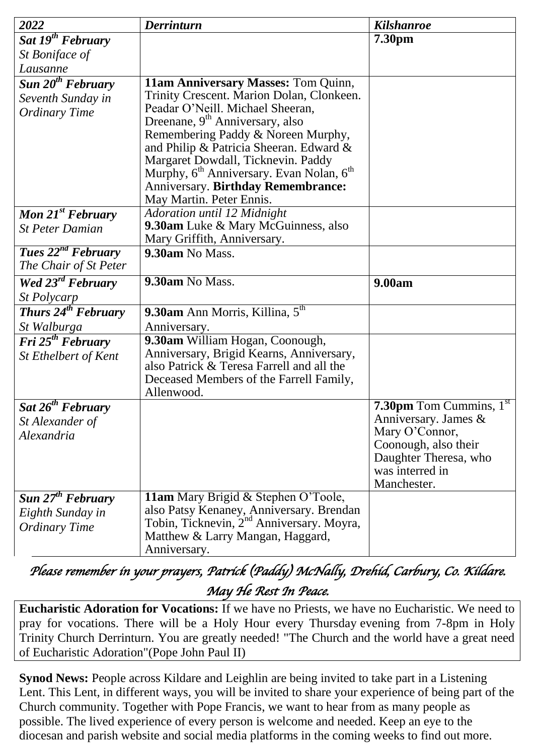| 2022                                                             | <b>Derrinturn</b>                                                                                                                                                                                                                                    | <b>Kilshanroe</b>                                                                                                                                                |
|------------------------------------------------------------------|------------------------------------------------------------------------------------------------------------------------------------------------------------------------------------------------------------------------------------------------------|------------------------------------------------------------------------------------------------------------------------------------------------------------------|
| Sat 19 <sup>th</sup> February                                    |                                                                                                                                                                                                                                                      | 7.30pm                                                                                                                                                           |
| St Boniface of                                                   |                                                                                                                                                                                                                                                      |                                                                                                                                                                  |
| Lausanne                                                         |                                                                                                                                                                                                                                                      |                                                                                                                                                                  |
| Sun $20th$ February<br>Seventh Sunday in<br><b>Ordinary Time</b> | 11am Anniversary Masses: Tom Quinn,<br>Trinity Crescent. Marion Dolan, Clonkeen.<br>Peadar O'Neill. Michael Sheeran,<br>Dreenane, 9 <sup>th</sup> Anniversary, also<br>Remembering Paddy & Noreen Murphy,<br>and Philip & Patricia Sheeran. Edward & |                                                                                                                                                                  |
|                                                                  | Margaret Dowdall, Ticknevin. Paddy<br>Murphy, 6 <sup>th</sup> Anniversary. Evan Nolan, 6 <sup>th</sup><br><b>Anniversary. Birthday Remembrance:</b><br>May Martin. Peter Ennis.                                                                      |                                                                                                                                                                  |
| <b>Mon 21st February</b>                                         | Adoration until 12 Midnight                                                                                                                                                                                                                          |                                                                                                                                                                  |
| <b>St Peter Damian</b>                                           | <b>9.30am</b> Luke & Mary McGuinness, also<br>Mary Griffith, Anniversary.                                                                                                                                                                            |                                                                                                                                                                  |
| Tues $22^{nd}$ February                                          | 9.30am No Mass.                                                                                                                                                                                                                                      |                                                                                                                                                                  |
| The Chair of St Peter                                            |                                                                                                                                                                                                                                                      |                                                                                                                                                                  |
| <b>Wed</b> $23^{rd}$ <b>February</b>                             | 9.30am No Mass.                                                                                                                                                                                                                                      | 9.00am                                                                                                                                                           |
| <i>St Polycarp</i>                                               |                                                                                                                                                                                                                                                      |                                                                                                                                                                  |
| Thurs $24^{th}$ February                                         | 9.30am Ann Morris, Killina, 5 <sup>th</sup>                                                                                                                                                                                                          |                                                                                                                                                                  |
| St Walburga                                                      | Anniversary.                                                                                                                                                                                                                                         |                                                                                                                                                                  |
| Fri 25 <sup>th</sup> February<br>St Ethelbert of Kent            | 9.30am William Hogan, Coonough,<br>Anniversary, Brigid Kearns, Anniversary,<br>also Patrick & Teresa Farrell and all the<br>Deceased Members of the Farrell Family,<br>Allenwood.                                                                    |                                                                                                                                                                  |
| Sat $26^{th}$ February<br>St Alexander of<br>Alexandria          |                                                                                                                                                                                                                                                      | <b>7.30pm</b> Tom Cummins, $1st$<br>Anniversary. James $\&$<br>Mary O'Connor,<br>Coonough, also their<br>Daughter Theresa, who<br>was interred in<br>Manchester. |
| Sun $27th$ February<br>Eighth Sunday in<br><b>Ordinary Time</b>  | 11am Mary Brigid & Stephen O'Toole,<br>also Patsy Kenaney, Anniversary. Brendan<br>Tobin, Ticknevin, 2 <sup>nd</sup> Anniversary. Moyra,<br>Matthew & Larry Mangan, Haggard,<br>Anniversary.                                                         |                                                                                                                                                                  |

*Please remember in your prayers, Patrick (Paddy) McNally, Drehid, Carbury, Co. Kildare. May He Rest In Peace.* 

**Eucharistic Adoration for Vocations:** If we have no Priests, we have no Eucharistic. We need to pray for vocations. There will be a Holy Hour every Thursday evening from 7-8pm in Holy Trinity Church Derrinturn. You are greatly needed! "The Church and the world have a great need of Eucharistic Adoration"(Pope John Paul II)

**Synod News:** People across Kildare and Leighlin are being invited to take part in a Listening Lent. This Lent, in different ways, you will be invited to share your experience of being part of the Church community. Together with Pope Francis, we want to hear from as many people as possible. The lived experience of every person is welcome and needed. Keep an eye to the diocesan and parish website and social media platforms in the coming weeks to find out more.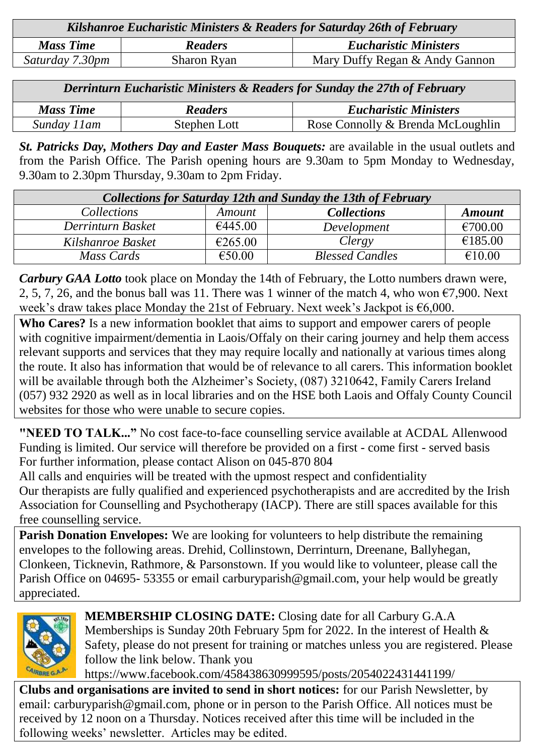| Kilshanroe Eucharistic Ministers & Readers for Saturday 26th of February |                    |                                |  |  |
|--------------------------------------------------------------------------|--------------------|--------------------------------|--|--|
| <b>Mass Time</b>                                                         | <b>Readers</b>     | <b>Eucharistic Ministers</b>   |  |  |
| Saturday 7.30pm                                                          | <b>Sharon Ryan</b> | Mary Duffy Regan & Andy Gannon |  |  |

| Derrinturn Eucharistic Ministers & Readers for Sunday the 27th of February |                |                                   |  |  |
|----------------------------------------------------------------------------|----------------|-----------------------------------|--|--|
| <b>Mass Time</b>                                                           | <b>Readers</b> | <b>Eucharistic Ministers</b>      |  |  |
| Sunday 11am                                                                | Stephen Lott   | Rose Connolly & Brenda McLoughlin |  |  |

*St. Patricks Day, Mothers Day and Easter Mass Bouquets:* are available in the usual outlets and from the Parish Office. The Parish opening hours are 9.30am to 5pm Monday to Wednesday, 9.30am to 2.30pm Thursday, 9.30am to 2pm Friday.

| <b>Collections for Saturday 12th and Sunday the 13th of February</b> |               |                        |               |  |  |
|----------------------------------------------------------------------|---------------|------------------------|---------------|--|--|
| <i>Collections</i>                                                   | <i>Amount</i> | <b>Collections</b>     | <b>Amount</b> |  |  |
| Derrinturn Basket                                                    | €445.00       | Development            | €700.00       |  |  |
| Kilshanroe Basket                                                    | €265.00       | Clergy                 | €185.00       |  |  |
| Mass Cards                                                           | €50.00        | <b>Blessed Candles</b> | €10.00        |  |  |

*Carbury GAA Lotto* took place on Monday the 14th of February, the Lotto numbers drawn were, 2, 5, 7, 26, and the bonus ball was 11. There was 1 winner of the match 4, who won  $\epsilon$ 7,900. Next week's draw takes place Monday the 21st of February. Next week's Jackpot is  $\epsilon$ 6,000.

**Who Cares?** Is a new information booklet that aims to support and empower carers of people with cognitive impairment/dementia in Laois/Offaly on their caring journey and help them access relevant supports and services that they may require locally and nationally at various times along the route. It also has information that would be of relevance to all carers. This information booklet will be available through both the Alzheimer's Society, (087) 3210642, Family Carers Ireland (057) 932 2920 as well as in local libraries and on the HSE both Laois and Offaly County Council websites for those who were unable to secure copies.

**"NEED TO TALK..."** No cost face-to-face counselling service available at ACDAL Allenwood Funding is limited. Our service will therefore be provided on a first - come first - served basis For further information, please contact Alison on 045-870 804

All calls and enquiries will be treated with the upmost respect and confidentiality

Our therapists are fully qualified and experienced psychotherapists and are accredited by the Irish Association for Counselling and Psychotherapy (IACP). There are still spaces available for this free counselling service.

Parish Donation Envelopes: We are looking for volunteers to help distribute the remaining envelopes to the following areas. Drehid, Collinstown, Derrinturn, Dreenane, Ballyhegan, Clonkeen, Ticknevin, Rathmore, & Parsonstown. If you would like to volunteer, please call the Parish Office on 04695- 53355 or email carburyparish@gmail.com, your help would be greatly appreciated.



**MEMBERSHIP CLOSING DATE:** Closing date for all Carbury G.A.A Memberships is Sunday 20th February 5pm for 2022. In the interest of Health & Safety, please do not present for training or matches unless you are registered. Please follow the link below. Thank you

[https://www.facebook.com/458438630999595/posts/2054022431441199/](https://www.facebook.com/carbury.gaa/posts/2054022431441199?__cft__%5b0%5d=AZU5uwj77960DFiDGr5uv_ZP1Q4TPMLjQvjgx_EcCNCeIaqyJcsKaIqCpcZuAQ3Bh2xKGBG-zIerYcqmf10YcYioGGFwqTRIV0emfdPFUcL_7XwLWa6kwep2bGcLIL4jjQZUp4bmuDlqjc3-VeU8nWrB&__tn__=-UK-R)

**Clubs and organisations are invited to send in short notices:** for our Parish Newsletter, by email: carburyparish@gmail.com, phone or in person to the Parish Office. All notices must be received by 12 noon on a Thursday. Notices received after this time will be included in the following weeks' newsletter. Articles may be edited.